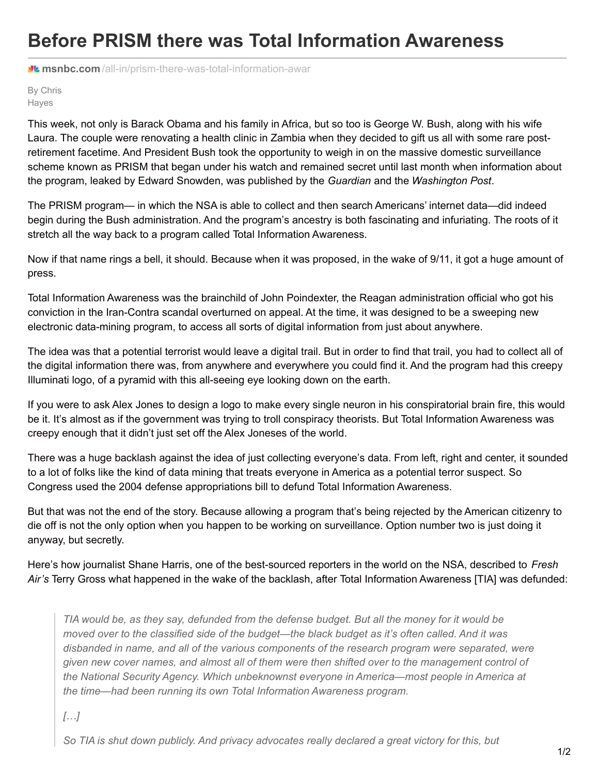## **Before PRISM there was Total Information Awareness**

**M** msnbc.com[/all-in/prism-there-was-total-information-awar](http://www.msnbc.com/all-in/prism-there-was-total-information-awar)

By Chris Hayes

This week, not only is Barack Obama and his family in Africa, but so too is George W. Bush, along with his wife Laura. The couple were renovating a health clinic in Zambia when they decided to gift us all with some rare postretirement facetime. And President Bush took the opportunity to weigh in on the massive domestic surveillance scheme known as PRISM that began under his watch and remained secret until last month when information about the program, leaked by Edward Snowden, was published by the *Guardian* and the *Washington Post*.

The PRISM program— in which the NSA is able to collect and then search Americans' internet data—did indeed begin during the Bush administration. And the program's ancestry is both fascinating and infuriating. The roots of it stretch all the way back to a program called Total Information Awareness.

Now if that name rings a bell, it should. Because when it was proposed, in the wake of 9/11, it got a huge amount of press.

Total Information Awareness was the brainchild of John Poindexter, the Reagan administration official who got his conviction in the Iran-Contra scandal overturned on appeal. At the time, it was designed to be a sweeping new electronic data-mining program, to access all sorts of digital information from just about anywhere.

The idea was that a potential terrorist would leave a digital trail. But in order to find that trail, you had to collect all of the digital information there was, from anywhere and everywhere you could find it. And the program had this creepy Illuminati logo, of a pyramid with this all-seeing eye looking down on the earth.

If you were to ask Alex Jones to design a logo to make every single neuron in his conspiratorial brain fire, this would be it. It's almost as if the government was trying to troll conspiracy theorists. But Total Information Awareness was creepy enough that it didn't just set off the Alex Joneses of the world.

There was a huge backlash against the idea of just collecting everyone's data. From left, right and center, it sounded to a lot of folks like the kind of data mining that treats everyone in America as a potential terror suspect. So Congress used the 2004 defense appropriations bill to defund Total Information Awareness.

But that was not the end of the story. Because allowing a program that's being rejected by the American citizenry to die off is not the only option when you happen to be working on surveillance. Option number two is just doing it anyway, but secretly.

Here's how journalist Shane Harris, one of the best-sourced reporters in the world on the NSA, described to *Fresh Air's* Terry Gross what happened in the wake of the backlash, after Total Information Awareness [TIA] was defunded:

TIA would be, as they say, defunded from the defense budget. But all the money for it would be *moved over to the classified side of the budget—the black budget as it's often called. And it was disbanded in name, and all of the various components of the research program were separated, were given new cover names, and almost all of them were then shifted over to the management control of the National Security Agency. Which unbeknownst everyone in America—most people in America at the time—had been running its own Total Information Awareness program.*

*[…]*

*So TIA is shut down publicly. And privacy advocates really declared a great victory for this, but*